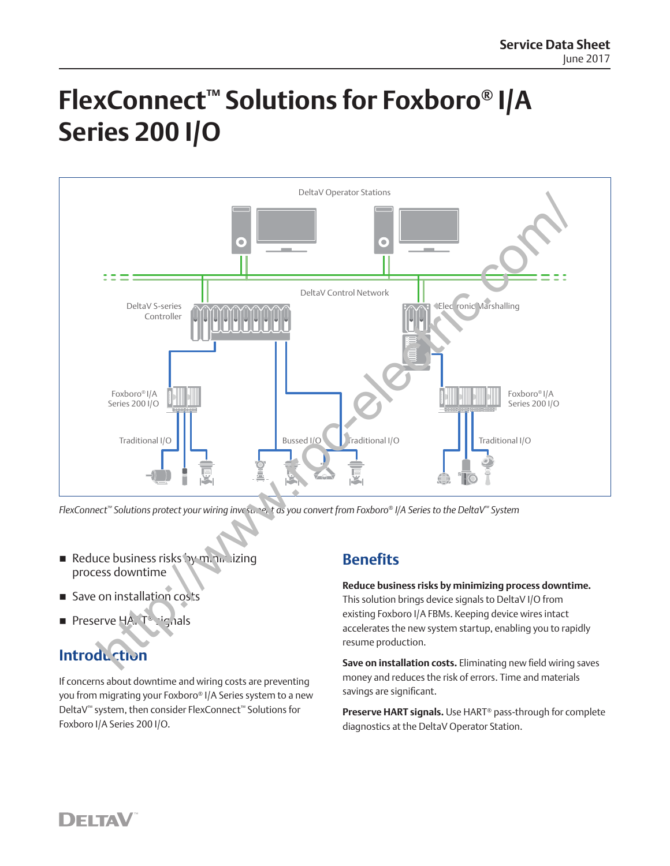# **FlexConnect™ Solutions for Foxboro® I/A Series 200 I/O**



*FlexConnect™ Solutions protect your wiring investment as you convert from Foxboro® I/A Series to the DeltaV™ System*

- Reduce business risks by minimizing process downtime
- Save on installation costs
- Preserve HA. T<sup>®</sup> signals

## **Introduction**

If concerns about downtime and wiring costs are preventing you from migrating your Foxboro® I/A Series system to a new DeltaV™ system, then consider FlexConnect™ Solutions for Foxboro I/A Series 200 I/O.

#### **Benefits**

**Reduce business risks by minimizing process downtime.** This solution brings device signals to DeltaV I/O from existing Foxboro I/A FBMs. Keeping device wires intact accelerates the new system startup, enabling you to rapidly resume production.

**Save on installation costs.** Eliminating new field wiring saves money and reduces the risk of errors. Time and materials savings are significant.

**Preserve HART signals.** Use HART® pass-through for complete diagnostics at the DeltaV Operator Station.

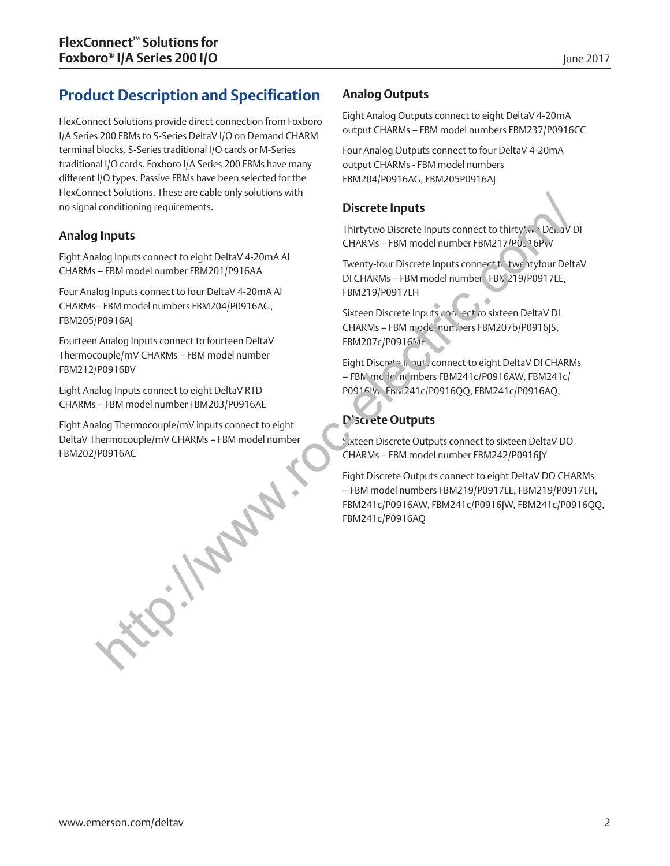## **Product Description and Specification**

FlexConnect Solutions provide direct connection from Foxboro I/A Series 200 FBMs to S-Series DeltaV I/O on Demand CHARM terminal blocks, S-Series traditional I/O cards or M-Series traditional I/O cards. Foxboro I/A Series 200 FBMs have many different I/O types. Passive FBMs have been selected for the FlexConnect Solutions. These are cable only solutions with no signal conditioning requirements.

#### **Analog Inputs**

Eight Analog Inputs connect to eight DeltaV 4-20mA AI CHARMs – FBM model number FBM201/P916AA

Four Analog Inputs connect to four DeltaV 4-20mA AI CHARMs– FBM model numbers FBM204/P0916AG, FBM205/P0916AJ

Fourteen Analog Inputs connect to fourteen DeltaV Thermocouple/mV CHARMs – FBM model number FBM212/P0916BV

Eight Analog Inputs connect to eight DeltaV RTD CHARMs – FBM model number FBM203/P0916AE

Eight Analog Thermocouple/mV inputs connect to eight DeltaV Thermocouple/mV CHARMs – FBM model number FBM202/P0916AC **http://www.** 

#### **Analog Outputs**

Eight Analog Outputs connect to eight DeltaV 4-20mA output CHARMs – FBM model numbers FBM237/P0916CC

Four Analog Outputs connect to four DeltaV 4-20mA output CHARMs - FBM model numbers FBM204/P0916AG, FBM205P0916AJ

#### **Discrete Inputs**

Thirtytwo Discrete Inputs connect to thirty<sup>t</sup>wo DeltaV DI CHARMs – FBM model number FBM217/P0916PvV

Twenty-four Discrete Inputs connect to twentyfour DeltaV DI CHARMs - FBM model number FBN 219/P0917LE, FBM219/P0917LH

Sixteen Discrete Inputs con, ect to sixteen DeltaV DI CHARMs – FBM model numbers FBM207b/P0916JS, FBM207c/P0916MF

Eight Discrete Input connect to eight DeltaV DI CHARMs – FBM mc fe'n mbers FBM241c/P0916AW, FBM241c/ P0916IV, Fbivi241c/P0916QQ, FBM241c/P0916AQ,

#### **Discrete Outputs**

Sixteen Discrete Outputs connect to sixteen DeltaV DO CHARMs – FBM model number FBM242/P0916JY

Eight Discrete Outputs connect to eight DeltaV DO CHARMs – FBM model numbers FBM219/P0917LE, FBM219/P0917LH, FBM241c/P0916AW, FBM241c/P0916JW, FBM241c/P0916QQ, FBM241c/P0916AQ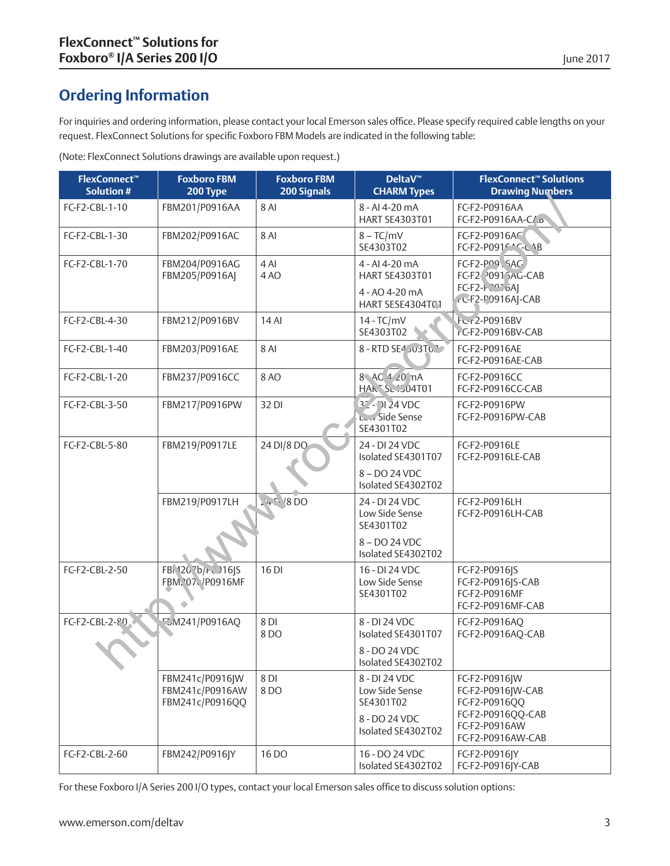## **Ordering Information**

For inquiries and ordering information, please contact your local Emerson sales office. Please specify required cable lengths on your request. FlexConnect Solutions for specific Foxboro FBM Models are indicated in the following table:

(Note: FlexConnect Solutions drawings are available upon request.)

| <b>FlexConnect™</b><br><b>Solution#</b> | <b>Foxboro FBM</b><br>200 Type                        | <b>Foxboro FBM</b><br>200 Signals | <b>DeltaV™</b><br><b>CHARM Types</b>                                                | <b>FlexConnect™ Solutions</b><br><b>Drawing Numbers</b>                                                        |
|-----------------------------------------|-------------------------------------------------------|-----------------------------------|-------------------------------------------------------------------------------------|----------------------------------------------------------------------------------------------------------------|
| FC-F2-CBL-1-10                          | FBM201/P0916AA                                        | <b>8 AI</b>                       | 8 - AI 4-20 mA<br>HART SE4303T01                                                    | FC-F2-P0916AA<br>FC-F2-P0916AA-C/.p                                                                            |
| FC-F2-CBL-1-30                          | FBM202/P0916AC                                        | <b>8 AI</b>                       | $8 - TC/mV$<br>SE4303T02                                                            | FC-F2-P0916AC<br>FC-F2-P091F.^C-LNB                                                                            |
| FC-F2-CBL-1-70                          | FBM204/P0916AG<br>FBM205/P0916AJ                      | 4 AI<br>4AO                       | 4 - AI 4-20 mA<br>HART SE4303T01<br>4 - AO 4-20 mA<br>HART SESE4304T01              | FC-F2-PO9, SAG<br>FC-F2-20915AG-CAB<br>$FC-F2-F2026A$<br>rC-F2-P0916AJ-CAB                                     |
| FC-F2-CBL-4-30                          | FBM212/P0916BV                                        | 14 AI                             | $14 - TC/mV$<br>SE4303T02                                                           | Fc-r2-P0916BV<br>rC-F2-P0916BV-CAB                                                                             |
| FC-F2-CBL-1-40                          | FBM203/P0916AE                                        | <b>8 AI</b>                       | 8 - RTD SE4 503T0.                                                                  | FC-F2-P0916AE<br>FC-F2-P0916AE-CAB                                                                             |
| FC-F2-CBL-1-20                          | FBM237/P0916CC                                        | <b>8 AO</b>                       | 8 AC 4 20 nA<br>HAK SL 1504T01                                                      | FC-F2-P0916CC<br>FC-F2-P0916CC-CAB                                                                             |
| FC-F2-CBL-3-50                          | FBM217/P0916PW                                        | 32 DI                             | $32 - 7124$ VDC<br><b>LCT.</b> Side Sense<br>SE4301T02                              | FC-F2-P0916PW<br>FC-F2-P0916PW-CAB                                                                             |
| FC-F2-CBL-5-80                          | FBM219/P0917LE                                        | 24 DI/8 DO                        | 24 - DI 24 VDC<br>Isolated SE4301T07                                                | FC-F2-P0916LE<br>FC-F2-P0916LE-CAB                                                                             |
|                                         |                                                       |                                   | 8-DO 24 VDC<br>Isolated SE4302T02                                                   |                                                                                                                |
|                                         | FBM219/P0917LH                                        | 247/800                           | 24 - DI 24 VDC<br>Low Side Sense<br>SE4301T02                                       | FC-F2-P0916LH<br>FC-F2-P0916LH-CAB                                                                             |
|                                         |                                                       |                                   | 8-DO 24 VDC<br>Isolated SE4302T02                                                   |                                                                                                                |
| FC-F2-CBL-2-50                          | FBI 120 7b/rc )16 S<br>FBM.'07\'/P0916MF              | 16 DI                             | 16 - DI 24 VDC<br>Low Side Sense<br>SE4301T02                                       | FC-F2-P0916 S<br>FC-F2-P0916 S-CAB<br>FC-F2-P0916MF<br>FC-F2-P0916MF-CAB                                       |
| FC-F2-CBL-2-80                          | 5M241/P0916AQ                                         | 8 DI<br>8 DO                      | 8 - DI 24 VDC<br>Isolated SE4301T07                                                 | FC-F2-P0916AQ<br>FC-F2-P0916AQ-CAB                                                                             |
|                                         |                                                       |                                   | 8 - DO 24 VDC<br>Isolated SE4302T02                                                 |                                                                                                                |
|                                         | FBM241c/P0916JW<br>FBM241c/P0916AW<br>FBM241c/P0916QQ | 8 DI<br>8 DO                      | 8 - DI 24 VDC<br>Low Side Sense<br>SE4301T02<br>8 - DO 24 VDC<br>Isolated SE4302T02 | FC-F2-P0916 W<br>FC-F2-P0916 W-CAB<br>FC-F2-P0916QQ<br>FC-F2-P0916QQ-CAB<br>FC-F2-P0916AW<br>FC-F2-P0916AW-CAB |
| FC-F2-CBL-2-60                          | FBM242/P0916 Y                                        | 16 DO                             | 16 - DO 24 VDC<br>Isolated SE4302T02                                                | FC-F2-P0916JY<br>FC-F2-P0916 Y-CAB                                                                             |

For these Foxboro I/A Series 200 I/O types, contact your local Emerson sales office to discuss solution options: